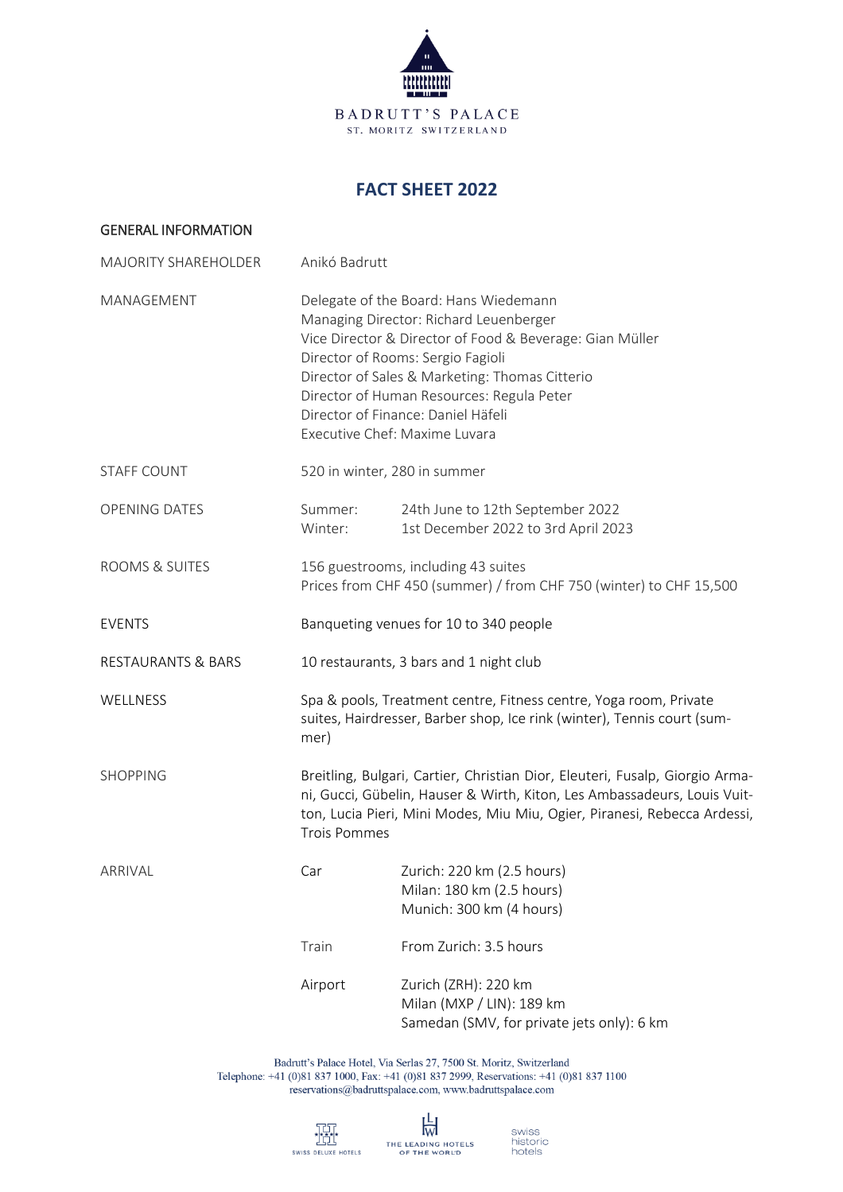

# **FACT SHEET 2022**

| <b>GENERAL INFORMATION</b>    |                                                                                                                                                                                                                                                                                                                                                        |                                                                                                 |  |
|-------------------------------|--------------------------------------------------------------------------------------------------------------------------------------------------------------------------------------------------------------------------------------------------------------------------------------------------------------------------------------------------------|-------------------------------------------------------------------------------------------------|--|
| <b>MAJORITY SHAREHOLDER</b>   | Anikó Badrutt                                                                                                                                                                                                                                                                                                                                          |                                                                                                 |  |
| MANAGEMENT                    | Delegate of the Board: Hans Wiedemann<br>Managing Director: Richard Leuenberger<br>Vice Director & Director of Food & Beverage: Gian Müller<br>Director of Rooms: Sergio Fagioli<br>Director of Sales & Marketing: Thomas Citterio<br>Director of Human Resources: Regula Peter<br>Director of Finance: Daniel Häfeli<br>Executive Chef: Maxime Luvara |                                                                                                 |  |
| <b>STAFF COUNT</b>            | 520 in winter, 280 in summer                                                                                                                                                                                                                                                                                                                           |                                                                                                 |  |
| <b>OPENING DATES</b>          | Summer:<br>Winter:                                                                                                                                                                                                                                                                                                                                     | 24th June to 12th September 2022<br>1st December 2022 to 3rd April 2023                         |  |
| ROOMS & SUITES                | 156 guestrooms, including 43 suites<br>Prices from CHF 450 (summer) / from CHF 750 (winter) to CHF 15,500                                                                                                                                                                                                                                              |                                                                                                 |  |
| <b>EVENTS</b>                 | Banqueting venues for 10 to 340 people                                                                                                                                                                                                                                                                                                                 |                                                                                                 |  |
| <b>RESTAURANTS &amp; BARS</b> | 10 restaurants, 3 bars and 1 night club                                                                                                                                                                                                                                                                                                                |                                                                                                 |  |
| WELLNESS                      | Spa & pools, Treatment centre, Fitness centre, Yoga room, Private<br>suites, Hairdresser, Barber shop, Ice rink (winter), Tennis court (sum-<br>mer)                                                                                                                                                                                                   |                                                                                                 |  |
| <b>SHOPPING</b>               | Breitling, Bulgari, Cartier, Christian Dior, Eleuteri, Fusalp, Giorgio Arma-<br>ni, Gucci, Gübelin, Hauser & Wirth, Kiton, Les Ambassadeurs, Louis Vuit-<br>ton, Lucia Pieri, Mini Modes, Miu Miu, Ogier, Piranesi, Rebecca Ardessi,<br><b>Trois Pommes</b>                                                                                            |                                                                                                 |  |
| ARRIVAL                       | Car                                                                                                                                                                                                                                                                                                                                                    | Zurich: 220 km (2.5 hours)<br>Milan: 180 km (2.5 hours)<br>Munich: 300 km (4 hours)             |  |
|                               | Train                                                                                                                                                                                                                                                                                                                                                  | From Zurich: 3.5 hours                                                                          |  |
|                               | Airport                                                                                                                                                                                                                                                                                                                                                | Zurich (ZRH): 220 km<br>Milan (MXP / LIN): 189 km<br>Samedan (SMV, for private jets only): 6 km |  |

Badrutt's Palace Hotel, Via Serlas 27, 7500 St. Moritz, Switzerland<br>Telephone: +41 (0)81 837 1000, Fax: +41 (0)81 837 2999, Reservations: +41 (0)81 837 1100 reservations@badruttspalace.com, www.badruttspalace.com

swiss<br>historic<br>hotels

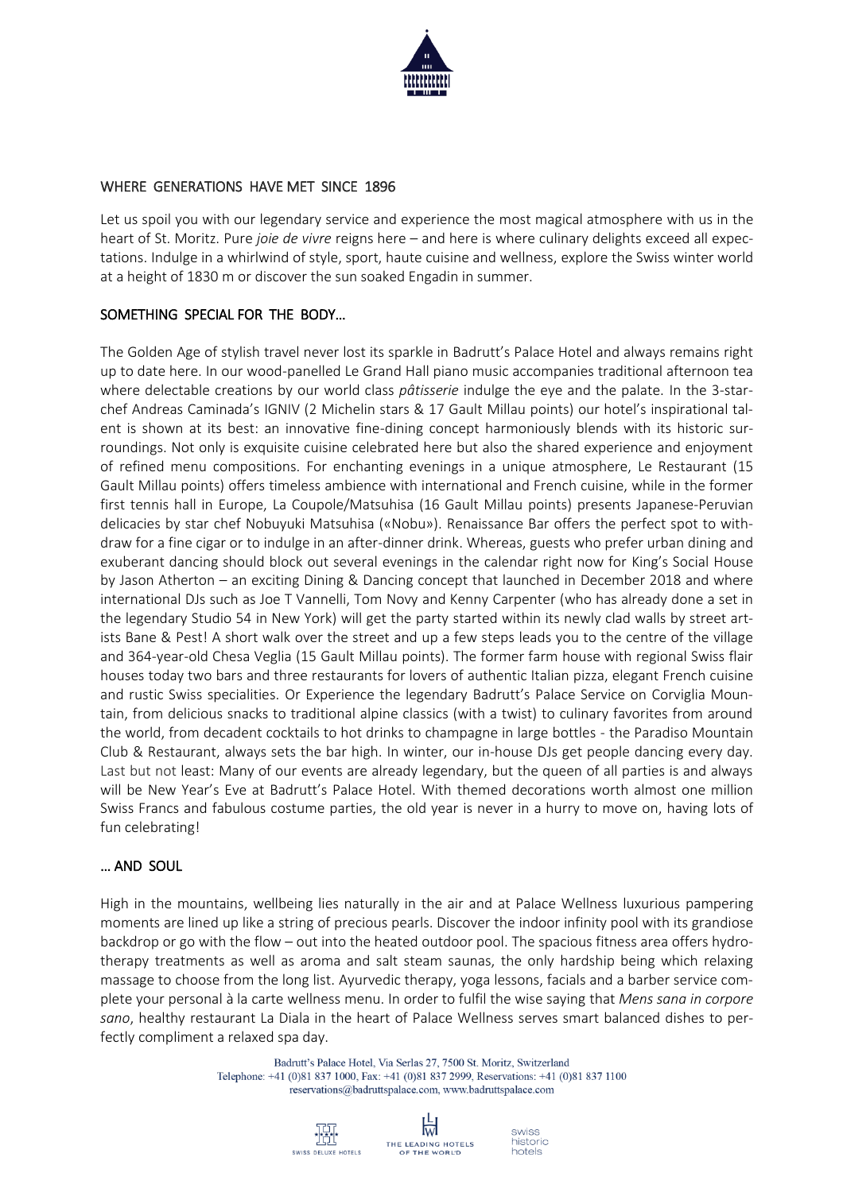

#### WHERE GENERATIONS HAVE MET SINCE 1896

Let us spoil you with our legendary service and experience the most magical atmosphere with us in the heart of St. Moritz. Pure *joie de vivre* reigns here – and here is where culinary delights exceed all expectations. Indulge in a whirlwind of style, sport, haute cuisine and wellness, explore the Swiss winter world at a height of 1830 m or discover the sun soaked Engadin in summer.

## SOMETHING SPECIAL FOR THE BODY…

The Golden Age of stylish travel never lost its sparkle in Badrutt's Palace Hotel and always remains right up to date here. In our wood-panelled Le Grand Hall piano music accompanies traditional afternoon tea where delectable creations by our world class *pâtisserie* indulge the eye and the palate. In the 3-starchef Andreas Caminada's IGNIV (2 Michelin stars & 17 Gault Millau points) our hotel's inspirational talent is shown at its best: an innovative fine-dining concept harmoniously blends with its historic surroundings. Not only is exquisite cuisine celebrated here but also the shared experience and enjoyment of refined menu compositions. For enchanting evenings in a unique atmosphere, Le Restaurant (15 Gault Millau points) offers timeless ambience with international and French cuisine, while in the former first tennis hall in Europe, La Coupole/Matsuhisa (16 Gault Millau points) presents Japanese-Peruvian delicacies by star chef Nobuyuki Matsuhisa («Nobu»). Renaissance Bar offers the perfect spot to withdraw for a fine cigar or to indulge in an after-dinner drink. Whereas, guests who prefer urban dining and exuberant dancing should block out several evenings in the calendar right now for King's Social House by Jason Atherton – an exciting Dining & Dancing concept that launched in December 2018 and where international DJs such as Joe T Vannelli, Tom Novy and Kenny Carpenter (who has already done a set in the legendary Studio 54 in New York) will get the party started within its newly clad walls by street artists Bane & Pest! A short walk over the street and up a few steps leads you to the centre of the village and 364-year-old Chesa Veglia (15 Gault Millau points). The former farm house with regional Swiss flair houses today two bars and three restaurants for lovers of authentic Italian pizza, elegant French cuisine and rustic Swiss specialities. Or Experience the legendary Badrutt's Palace Service on Corviglia Mountain, from delicious snacks to traditional alpine classics (with a twist) to culinary favorites from around the world, from decadent cocktails to hot drinks to champagne in large bottles - the Paradiso Mountain Club & Restaurant, always sets the bar high. In winter, our in-house DJs get people dancing every day. Last but not least: Many of our events are already legendary, but the queen of all parties is and always will be New Year's Eve at Badrutt's Palace Hotel. With themed decorations worth almost one million Swiss Francs and fabulous costume parties, the old year is never in a hurry to move on, having lots of fun celebrating!

## … AND SOUL

High in the mountains, wellbeing lies naturally in the air and at Palace Wellness luxurious pampering moments are lined up like a string of precious pearls. Discover the indoor infinity pool with its grandiose backdrop or go with the flow – out into the heated outdoor pool. The spacious fitness area offers hydrotherapy treatments as well as aroma and salt steam saunas, the only hardship being which relaxing massage to choose from the long list. Ayurvedic therapy, yoga lessons, facials and a barber service complete your personal à la carte wellness menu. In order to fulfil the wise saying that *Mens sana in corpore sano*, healthy restaurant La Diala in the heart of Palace Wellness serves smart balanced dishes to perfectly compliment a relaxed spa day.

> Badrutt's Palace Hotel, Via Serlas 27, 7500 St. Moritz, Switzerland Telephone: +41 (0)81 837 1000, Fax: +41 (0)81 837 2999, Reservations: +41 (0)81 837 1100 reservations@badruttspalace.com.www.badruttspalace.com

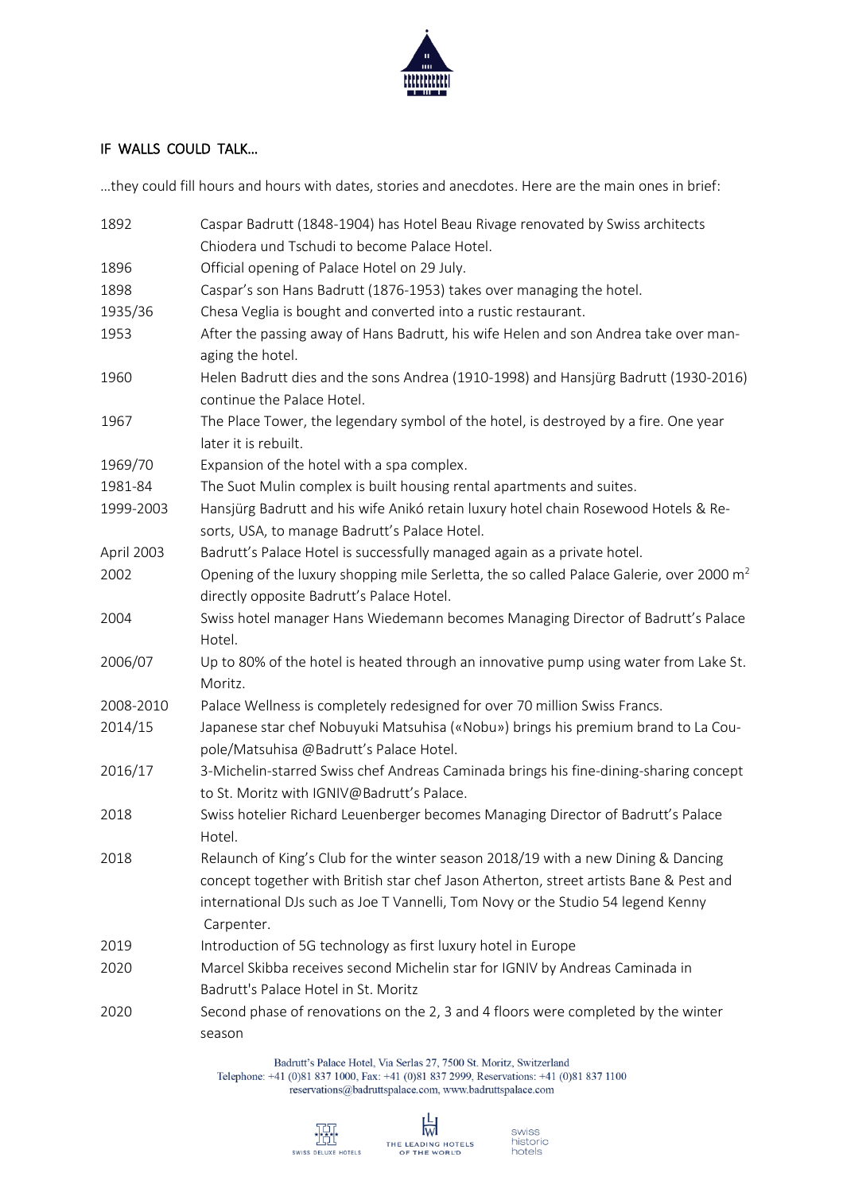

## IF WALLS COULD TALK…

…they could fill hours and hours with dates, stories and anecdotes. Here are the main ones in brief:

| 1892       | Caspar Badrutt (1848-1904) has Hotel Beau Rivage renovated by Swiss architects                                                                                                                                                                                                |  |  |
|------------|-------------------------------------------------------------------------------------------------------------------------------------------------------------------------------------------------------------------------------------------------------------------------------|--|--|
|            | Chiodera und Tschudi to become Palace Hotel.                                                                                                                                                                                                                                  |  |  |
| 1896       | Official opening of Palace Hotel on 29 July.                                                                                                                                                                                                                                  |  |  |
| 1898       | Caspar's son Hans Badrutt (1876-1953) takes over managing the hotel.                                                                                                                                                                                                          |  |  |
| 1935/36    | Chesa Veglia is bought and converted into a rustic restaurant.                                                                                                                                                                                                                |  |  |
| 1953       | After the passing away of Hans Badrutt, his wife Helen and son Andrea take over man-<br>aging the hotel.                                                                                                                                                                      |  |  |
| 1960       | Helen Badrutt dies and the sons Andrea (1910-1998) and Hansjürg Badrutt (1930-2016)<br>continue the Palace Hotel.                                                                                                                                                             |  |  |
| 1967       | The Place Tower, the legendary symbol of the hotel, is destroyed by a fire. One year<br>later it is rebuilt.                                                                                                                                                                  |  |  |
| 1969/70    | Expansion of the hotel with a spa complex.                                                                                                                                                                                                                                    |  |  |
| 1981-84    | The Suot Mulin complex is built housing rental apartments and suites.                                                                                                                                                                                                         |  |  |
| 1999-2003  | Hansjürg Badrutt and his wife Anikó retain luxury hotel chain Rosewood Hotels & Re-<br>sorts, USA, to manage Badrutt's Palace Hotel.                                                                                                                                          |  |  |
| April 2003 | Badrutt's Palace Hotel is successfully managed again as a private hotel.                                                                                                                                                                                                      |  |  |
| 2002       | Opening of the luxury shopping mile Serletta, the so called Palace Galerie, over 2000 $m^2$                                                                                                                                                                                   |  |  |
|            | directly opposite Badrutt's Palace Hotel.                                                                                                                                                                                                                                     |  |  |
| 2004       | Swiss hotel manager Hans Wiedemann becomes Managing Director of Badrutt's Palace<br>Hotel.                                                                                                                                                                                    |  |  |
| 2006/07    | Up to 80% of the hotel is heated through an innovative pump using water from Lake St.<br>Moritz.                                                                                                                                                                              |  |  |
| 2008-2010  | Palace Wellness is completely redesigned for over 70 million Swiss Francs.                                                                                                                                                                                                    |  |  |
| 2014/15    | Japanese star chef Nobuyuki Matsuhisa («Nobu») brings his premium brand to La Cou-<br>pole/Matsuhisa @Badrutt's Palace Hotel.                                                                                                                                                 |  |  |
| 2016/17    | 3-Michelin-starred Swiss chef Andreas Caminada brings his fine-dining-sharing concept<br>to St. Moritz with IGNIV@Badrutt's Palace.                                                                                                                                           |  |  |
| 2018       | Swiss hotelier Richard Leuenberger becomes Managing Director of Badrutt's Palace<br>Hotel.                                                                                                                                                                                    |  |  |
| 2018       | Relaunch of King's Club for the winter season 2018/19 with a new Dining & Dancing<br>concept together with British star chef Jason Atherton, street artists Bane & Pest and<br>international DJs such as Joe T Vannelli, Tom Novy or the Studio 54 legend Kenny<br>Carpenter. |  |  |
| 2019       | Introduction of 5G technology as first luxury hotel in Europe                                                                                                                                                                                                                 |  |  |
| 2020       | Marcel Skibba receives second Michelin star for IGNIV by Andreas Caminada in                                                                                                                                                                                                  |  |  |
|            | Badrutt's Palace Hotel in St. Moritz                                                                                                                                                                                                                                          |  |  |
| 2020       | Second phase of renovations on the 2, 3 and 4 floors were completed by the winter<br>season                                                                                                                                                                                   |  |  |

Badrutt's Palace Hotel, Via Serlas 27, 7500 St. Moritz, Switzerland Telephone: +41 (0)81 837 1000, Fax: +41 (0)81 837 2999, Reservations: +41 (0)81 837 1100 reservations@badruttspalace.com, www.badruttspalace.com



swiss<br>historic<br>hotels